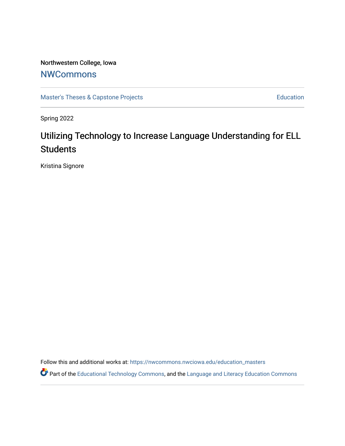Northwestern College, Iowa

# [NWCommons](https://nwcommons.nwciowa.edu/)

[Master's Theses & Capstone Projects](https://nwcommons.nwciowa.edu/education_masters) **Education** Education

Spring 2022

# Utilizing Technology to Increase Language Understanding for ELL **Students**

Kristina Signore

Follow this and additional works at: [https://nwcommons.nwciowa.edu/education\\_masters](https://nwcommons.nwciowa.edu/education_masters?utm_source=nwcommons.nwciowa.edu%2Feducation_masters%2F401&utm_medium=PDF&utm_campaign=PDFCoverPages)

Part of the [Educational Technology Commons,](https://network.bepress.com/hgg/discipline/1415?utm_source=nwcommons.nwciowa.edu%2Feducation_masters%2F401&utm_medium=PDF&utm_campaign=PDFCoverPages) and the [Language and Literacy Education Commons](https://network.bepress.com/hgg/discipline/1380?utm_source=nwcommons.nwciowa.edu%2Feducation_masters%2F401&utm_medium=PDF&utm_campaign=PDFCoverPages)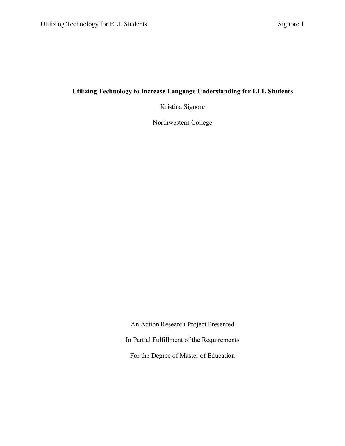### **Utilizing Technology to Increase Language Understanding for ELL Students**

Kristina Signore

Northwestern College

An Action Research Project Presented In Partial Fulfillment of the Requirements For the Degree of Master of Education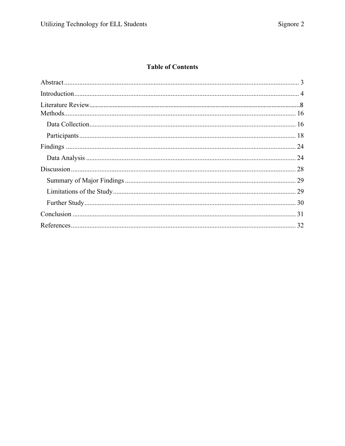## **Table of Contents**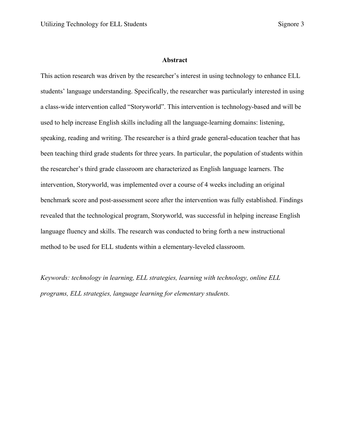#### **Abstract**

This action research was driven by the researcher's interest in using technology to enhance ELL students' language understanding. Specifically, the researcher was particularly interested in using a class-wide intervention called "Storyworld". This intervention is technology-based and will be used to help increase English skills including all the language-learning domains: listening, speaking, reading and writing. The researcher is a third grade general-education teacher that has been teaching third grade students for three years. In particular, the population of students within the researcher's third grade classroom are characterized as English language learners. The intervention, Storyworld, was implemented over a course of 4 weeks including an original benchmark score and post-assessment score after the intervention was fully established. Findings revealed that the technological program, Storyworld, was successful in helping increase English language fluency and skills. The research was conducted to bring forth a new instructional method to be used for ELL students within a elementary-leveled classroom.

*Keywords: technology in learning, ELL strategies, learning with technology, online ELL programs, ELL strategies, language learning for elementary students.*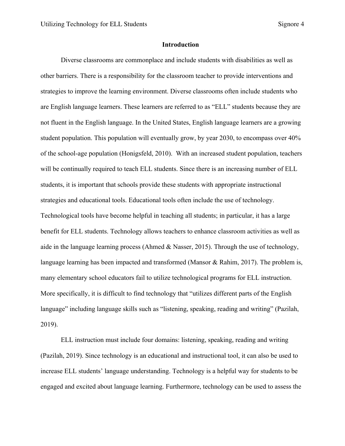#### **Introduction**

Diverse classrooms are commonplace and include students with disabilities as well as other barriers. There is a responsibility for the classroom teacher to provide interventions and strategies to improve the learning environment. Diverse classrooms often include students who are English language learners. These learners are referred to as "ELL" students because they are not fluent in the English language. In the United States, English language learners are a growing student population. This population will eventually grow, by year 2030, to encompass over 40% of the school-age population (Honigsfeld, 2010). With an increased student population, teachers will be continually required to teach ELL students. Since there is an increasing number of ELL students, it is important that schools provide these students with appropriate instructional strategies and educational tools. Educational tools often include the use of technology. Technological tools have become helpful in teaching all students; in particular, it has a large benefit for ELL students. Technology allows teachers to enhance classroom activities as well as aide in the language learning process (Ahmed & Nasser, 2015). Through the use of technology, language learning has been impacted and transformed (Mansor & Rahim, 2017). The problem is, many elementary school educators fail to utilize technological programs for ELL instruction. More specifically, it is difficult to find technology that "utilizes different parts of the English language" including language skills such as "listening, speaking, reading and writing" (Pazilah, 2019).

ELL instruction must include four domains: listening, speaking, reading and writing (Pazilah, 2019). Since technology is an educational and instructional tool, it can also be used to increase ELL students' language understanding. Technology is a helpful way for students to be engaged and excited about language learning. Furthermore, technology can be used to assess the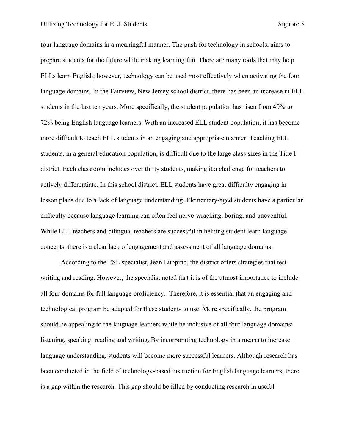four language domains in a meaningful manner. The push for technology in schools, aims to prepare students for the future while making learning fun. There are many tools that may help ELLs learn English; however, technology can be used most effectively when activating the four language domains. In the Fairview, New Jersey school district, there has been an increase in ELL students in the last ten years. More specifically, the student population has risen from 40% to 72% being English language learners. With an increased ELL student population, it has become more difficult to teach ELL students in an engaging and appropriate manner. Teaching ELL students, in a general education population, is difficult due to the large class sizes in the Title I district. Each classroom includes over thirty students, making it a challenge for teachers to actively differentiate. In this school district, ELL students have great difficulty engaging in lesson plans due to a lack of language understanding. Elementary-aged students have a particular difficulty because language learning can often feel nerve-wracking, boring, and uneventful. While ELL teachers and bilingual teachers are successful in helping student learn language concepts, there is a clear lack of engagement and assessment of all language domains.

According to the ESL specialist, Jean Luppino, the district offers strategies that test writing and reading. However, the specialist noted that it is of the utmost importance to include all four domains for full language proficiency. Therefore, it is essential that an engaging and technological program be adapted for these students to use. More specifically, the program should be appealing to the language learners while be inclusive of all four language domains: listening, speaking, reading and writing. By incorporating technology in a means to increase language understanding, students will become more successful learners. Although research has been conducted in the field of technology-based instruction for English language learners, there is a gap within the research. This gap should be filled by conducting research in useful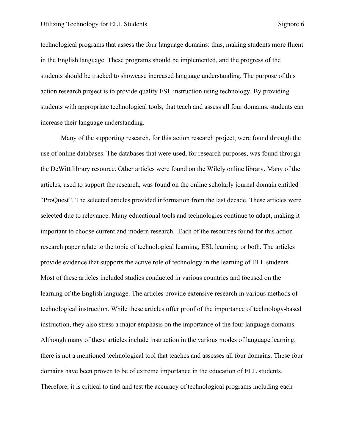technological programs that assess the four language domains: thus, making students more fluent in the English language. These programs should be implemented, and the progress of the students should be tracked to showcase increased language understanding. The purpose of this action research project is to provide quality ESL instruction using technology. By providing students with appropriate technological tools, that teach and assess all four domains, students can increase their language understanding.

Many of the supporting research, for this action research project, were found through the use of online databases. The databases that were used, for research purposes, was found through the DeWitt library resource. Other articles were found on the Wilely online library. Many of the articles, used to support the research, was found on the online scholarly journal domain entitled "ProQuest". The selected articles provided information from the last decade. These articles were selected due to relevance. Many educational tools and technologies continue to adapt, making it important to choose current and modern research. Each of the resources found for this action research paper relate to the topic of technological learning, ESL learning, or both. The articles provide evidence that supports the active role of technology in the learning of ELL students. Most of these articles included studies conducted in various countries and focused on the learning of the English language. The articles provide extensive research in various methods of technological instruction. While these articles offer proof of the importance of technology-based instruction, they also stress a major emphasis on the importance of the four language domains. Although many of these articles include instruction in the various modes of language learning, there is not a mentioned technological tool that teaches and assesses all four domains. These four domains have been proven to be of extreme importance in the education of ELL students. Therefore, it is critical to find and test the accuracy of technological programs including each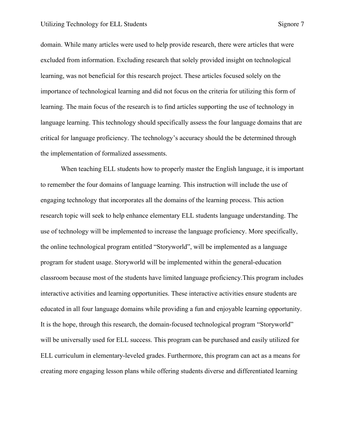domain. While many articles were used to help provide research, there were articles that were excluded from information. Excluding research that solely provided insight on technological learning, was not beneficial for this research project. These articles focused solely on the importance of technological learning and did not focus on the criteria for utilizing this form of learning. The main focus of the research is to find articles supporting the use of technology in language learning. This technology should specifically assess the four language domains that are critical for language proficiency. The technology's accuracy should the be determined through the implementation of formalized assessments.

When teaching ELL students how to properly master the English language, it is important to remember the four domains of language learning. This instruction will include the use of engaging technology that incorporates all the domains of the learning process. This action research topic will seek to help enhance elementary ELL students language understanding. The use of technology will be implemented to increase the language proficiency. More specifically, the online technological program entitled "Storyworld", will be implemented as a language program for student usage. Storyworld will be implemented within the general-education classroom because most of the students have limited language proficiency.This program includes interactive activities and learning opportunities. These interactive activities ensure students are educated in all four language domains while providing a fun and enjoyable learning opportunity. It is the hope, through this research, the domain-focused technological program "Storyworld" will be universally used for ELL success. This program can be purchased and easily utilized for ELL curriculum in elementary-leveled grades. Furthermore, this program can act as a means for creating more engaging lesson plans while offering students diverse and differentiated learning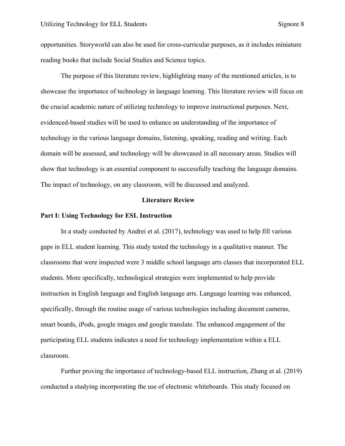opportunities. Storyworld can also be used for cross-curricular purposes, as it includes miniature reading books that include Social Studies and Science topics.

The purpose of this literature review, highlighting many of the mentioned articles, is to showcase the importance of technology in language learning. This literature review will focus on the crucial academic nature of utilizing technology to improve instructional purposes. Next, evidenced-based studies will be used to enhance an understanding of the importance of technology in the various language domains, listening, speaking, reading and writing. Each domain will be assessed, and technology will be showcased in all necessary areas. Studies will show that technology is an essential component to successfully teaching the language domains. The impact of technology, on any classroom, will be discussed and analyzed.

#### **Literature Review**

#### **Part I: Using Technology for ESL Instruction**

In a study conducted by Andrei et al. (2017), technology was used to help fill various gaps in ELL student learning. This study tested the technology in a qualitative manner. The classrooms that were inspected were 3 middle school language arts classes that incorporated ELL students. More specifically, technological strategies were implemented to help provide instruction in English language and English language arts. Language learning was enhanced, specifically, through the routine usage of various technologies including document cameras, smart boards, iPods, google images and google translate. The enhanced engagement of the participating ELL students indicates a need for technology implementation within a ELL classroom.

Further proving the importance of technology-based ELL instruction, Zhang et al. (2019) conducted a studying incorporating the use of electronic whiteboards. This study focused on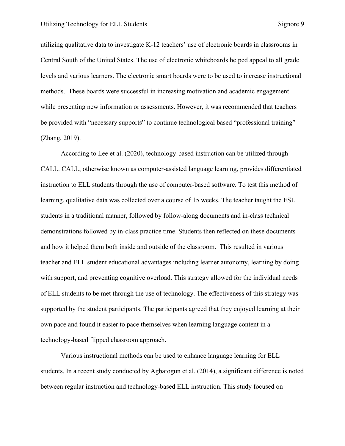utilizing qualitative data to investigate K-12 teachers' use of electronic boards in classrooms in Central South of the United States. The use of electronic whiteboards helped appeal to all grade levels and various learners. The electronic smart boards were to be used to increase instructional methods. These boards were successful in increasing motivation and academic engagement while presenting new information or assessments. However, it was recommended that teachers be provided with "necessary supports" to continue technological based "professional training" (Zhang, 2019).

According to Lee et al. (2020), technology-based instruction can be utilized through CALL. CALL, otherwise known as computer-assisted language learning, provides differentiated instruction to ELL students through the use of computer-based software. To test this method of learning, qualitative data was collected over a course of 15 weeks. The teacher taught the ESL students in a traditional manner, followed by follow-along documents and in-class technical demonstrations followed by in-class practice time. Students then reflected on these documents and how it helped them both inside and outside of the classroom. This resulted in various teacher and ELL student educational advantages including learner autonomy, learning by doing with support, and preventing cognitive overload. This strategy allowed for the individual needs of ELL students to be met through the use of technology. The effectiveness of this strategy was supported by the student participants. The participants agreed that they enjoyed learning at their own pace and found it easier to pace themselves when learning language content in a technology-based flipped classroom approach.

Various instructional methods can be used to enhance language learning for ELL students. In a recent study conducted by Agbatogun et al. (2014), a significant difference is noted between regular instruction and technology-based ELL instruction. This study focused on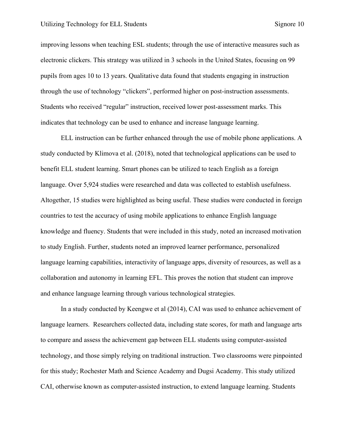improving lessons when teaching ESL students; through the use of interactive measures such as electronic clickers. This strategy was utilized in 3 schools in the United States, focusing on 99 pupils from ages 10 to 13 years. Qualitative data found that students engaging in instruction through the use of technology "clickers", performed higher on post-instruction assessments. Students who received "regular" instruction, received lower post-assessment marks. This indicates that technology can be used to enhance and increase language learning.

ELL instruction can be further enhanced through the use of mobile phone applications. A study conducted by Klimova et al. (2018), noted that technological applications can be used to benefit ELL student learning. Smart phones can be utilized to teach English as a foreign language. Over 5,924 studies were researched and data was collected to establish usefulness. Altogether, 15 studies were highlighted as being useful. These studies were conducted in foreign countries to test the accuracy of using mobile applications to enhance English language knowledge and fluency. Students that were included in this study, noted an increased motivation to study English. Further, students noted an improved learner performance, personalized language learning capabilities, interactivity of language apps, diversity of resources, as well as a collaboration and autonomy in learning EFL. This proves the notion that student can improve and enhance language learning through various technological strategies.

In a study conducted by Keengwe et al (2014), CAI was used to enhance achievement of language learners. Researchers collected data, including state scores, for math and language arts to compare and assess the achievement gap between ELL students using computer-assisted technology, and those simply relying on traditional instruction. Two classrooms were pinpointed for this study; Rochester Math and Science Academy and Dugsi Academy. This study utilized CAI, otherwise known as computer-assisted instruction, to extend language learning. Students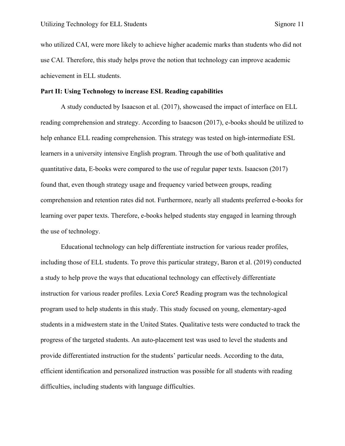who utilized CAI, were more likely to achieve higher academic marks than students who did not use CAI. Therefore, this study helps prove the notion that technology can improve academic achievement in ELL students.

#### **Part II: Using Technology to increase ESL Reading capabilities**

A study conducted by Isaacson et al. (2017), showcased the impact of interface on ELL reading comprehension and strategy. According to Isaacson (2017), e-books should be utilized to help enhance ELL reading comprehension. This strategy was tested on high-intermediate ESL learners in a university intensive English program. Through the use of both qualitative and quantitative data, E-books were compared to the use of regular paper texts. Isaacson (2017) found that, even though strategy usage and frequency varied between groups, reading comprehension and retention rates did not. Furthermore, nearly all students preferred e-books for learning over paper texts. Therefore, e-books helped students stay engaged in learning through the use of technology.

Educational technology can help differentiate instruction for various reader profiles, including those of ELL students. To prove this particular strategy, Baron et al. (2019) conducted a study to help prove the ways that educational technology can effectively differentiate instruction for various reader profiles. Lexia Core5 Reading program was the technological program used to help students in this study. This study focused on young, elementary-aged students in a midwestern state in the United States. Qualitative tests were conducted to track the progress of the targeted students. An auto-placement test was used to level the students and provide differentiated instruction for the students' particular needs. According to the data, efficient identification and personalized instruction was possible for all students with reading difficulties, including students with language difficulties.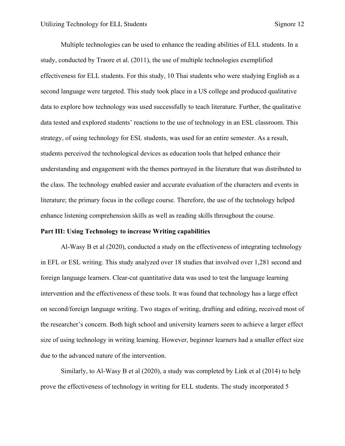Multiple technologies can be used to enhance the reading abilities of ELL students. In a study, conducted by Traore et al. (2011), the use of multiple technologies exemplified effectiveness for ELL students. For this study, 10 Thai students who were studying English as a second language were targeted. This study took place in a US college and produced qualitative data to explore how technology was used successfully to teach literature. Further, the qualitative data tested and explored students' reactions to the use of technology in an ESL classroom. This strategy, of using technology for ESL students, was used for an entire semester. As a result, students perceived the technological devices as education tools that helped enhance their understanding and engagement with the themes portrayed in the literature that was distributed to the class. The technology enabled easier and accurate evaluation of the characters and events in literature; the primary focus in the college course. Therefore, the use of the technology helped enhance listening comprehension skills as well as reading skills throughout the course.

#### **Part III: Using Technology to increase Writing capabilities**

Al-Wasy B et al (2020), conducted a study on the effectiveness of integrating technology in EFL or ESL writing. This study analyzed over 18 studies that involved over 1,281 second and foreign language learners. Clear-cut quantitative data was used to test the language learning intervention and the effectiveness of these tools. It was found that technology has a large effect on second/foreign language writing. Two stages of writing, drafting and editing, received most of the researcher's concern. Both high school and university learners seem to achieve a larger effect size of using technology in writing learning. However, beginner learners had a smaller effect size due to the advanced nature of the intervention.

Similarly, to Al-Wasy B et al (2020), a study was completed by Link et al (2014) to help prove the effectiveness of technology in writing for ELL students. The study incorporated 5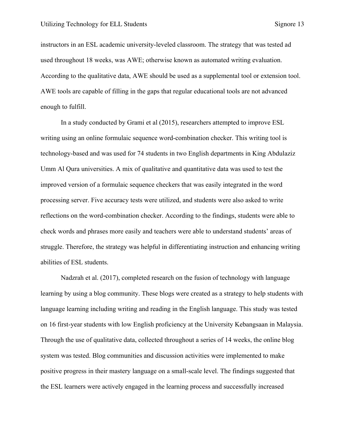instructors in an ESL academic university-leveled classroom. The strategy that was tested ad used throughout 18 weeks, was AWE; otherwise known as automated writing evaluation. According to the qualitative data, AWE should be used as a supplemental tool or extension tool. AWE tools are capable of filling in the gaps that regular educational tools are not advanced enough to fulfill.

In a study conducted by Grami et al (2015), researchers attempted to improve ESL writing using an online formulaic sequence word-combination checker. This writing tool is technology-based and was used for 74 students in two English departments in King Abdulaziz Umm Al Qura universities. A mix of qualitative and quantitative data was used to test the improved version of a formulaic sequence checkers that was easily integrated in the word processing server. Five accuracy tests were utilized, and students were also asked to write reflections on the word-combination checker. According to the findings, students were able to check words and phrases more easily and teachers were able to understand students' areas of struggle. Therefore, the strategy was helpful in differentiating instruction and enhancing writing abilities of ESL students.

Nadzrah et al. (2017), completed research on the fusion of technology with language learning by using a blog community. These blogs were created as a strategy to help students with language learning including writing and reading in the English language. This study was tested on 16 first-year students with low English proficiency at the University Kebangsaan in Malaysia. Through the use of qualitative data, collected throughout a series of 14 weeks, the online blog system was tested. Blog communities and discussion activities were implemented to make positive progress in their mastery language on a small-scale level. The findings suggested that the ESL learners were actively engaged in the learning process and successfully increased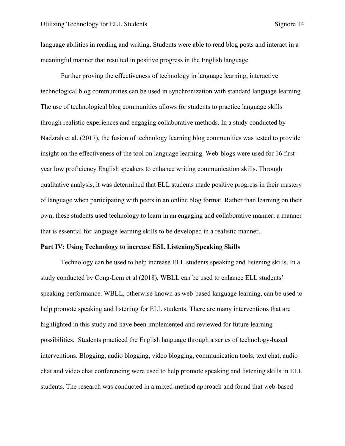language abilities in reading and writing. Students were able to read blog posts and interact in a meaningful manner that resulted in positive progress in the English language.

Further proving the effectiveness of technology in language learning, interactive technological blog communities can be used in synchronization with standard language learning. The use of technological blog communities allows for students to practice language skills through realistic experiences and engaging collaborative methods. In a study conducted by Nadzrah et al. (2017), the fusion of technology learning blog communities was tested to provide insight on the effectiveness of the tool on language learning. Web-blogs were used for 16 firstyear low proficiency English speakers to enhance writing communication skills. Through qualitative analysis, it was determined that ELL students made positive progress in their mastery of language when participating with peers in an online blog format. Rather than learning on their own, these students used technology to learn in an engaging and collaborative manner; a manner that is essential for language learning skills to be developed in a realistic manner.

#### **Part IV: Using Technology to increase ESL Listening/Speaking Skills**

Technology can be used to help increase ELL students speaking and listening skills. In a study conducted by Cong-Lem et al (2018), WBLL can be used to enhance ELL students' speaking performance. WBLL, otherwise known as web-based language learning, can be used to help promote speaking and listening for ELL students. There are many interventions that are highlighted in this study and have been implemented and reviewed for future learning possibilities. Students practiced the English language through a series of technology-based interventions. Blogging, audio blogging, video blogging, communication tools, text chat, audio chat and video chat conferencing were used to help promote speaking and listening skills in ELL students. The research was conducted in a mixed-method approach and found that web-based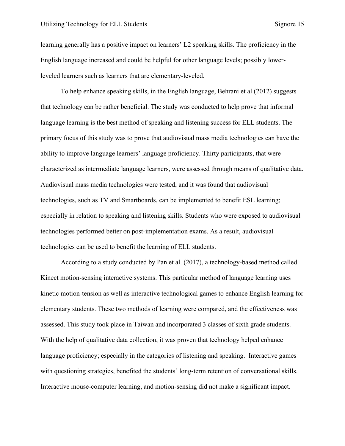learning generally has a positive impact on learners' L2 speaking skills. The proficiency in the English language increased and could be helpful for other language levels; possibly lowerleveled learners such as learners that are elementary-leveled.

To help enhance speaking skills, in the English language, Behrani et al (2012) suggests that technology can be rather beneficial. The study was conducted to help prove that informal language learning is the best method of speaking and listening success for ELL students. The primary focus of this study was to prove that audiovisual mass media technologies can have the ability to improve language learners' language proficiency. Thirty participants, that were characterized as intermediate language learners, were assessed through means of qualitative data. Audiovisual mass media technologies were tested, and it was found that audiovisual technologies, such as TV and Smartboards, can be implemented to benefit ESL learning; especially in relation to speaking and listening skills. Students who were exposed to audiovisual technologies performed better on post-implementation exams. As a result, audiovisual technologies can be used to benefit the learning of ELL students.

According to a study conducted by Pan et al. (2017), a technology-based method called Kinect motion-sensing interactive systems. This particular method of language learning uses kinetic motion-tension as well as interactive technological games to enhance English learning for elementary students. These two methods of learning were compared, and the effectiveness was assessed. This study took place in Taiwan and incorporated 3 classes of sixth grade students. With the help of qualitative data collection, it was proven that technology helped enhance language proficiency; especially in the categories of listening and speaking. Interactive games with questioning strategies, benefited the students' long-term retention of conversational skills. Interactive mouse-computer learning, and motion-sensing did not make a significant impact.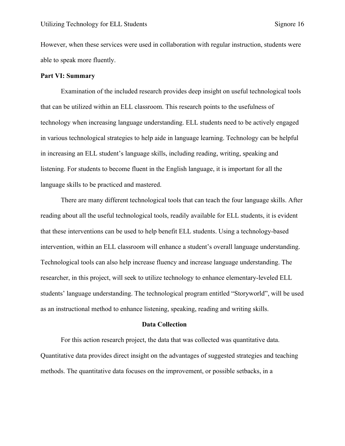However, when these services were used in collaboration with regular instruction, students were able to speak more fluently.

#### **Part VI: Summary**

Examination of the included research provides deep insight on useful technological tools that can be utilized within an ELL classroom. This research points to the usefulness of technology when increasing language understanding. ELL students need to be actively engaged in various technological strategies to help aide in language learning. Technology can be helpful in increasing an ELL student's language skills, including reading, writing, speaking and listening. For students to become fluent in the English language, it is important for all the language skills to be practiced and mastered.

There are many different technological tools that can teach the four language skills. After reading about all the useful technological tools, readily available for ELL students, it is evident that these interventions can be used to help benefit ELL students. Using a technology-based intervention, within an ELL classroom will enhance a student's overall language understanding. Technological tools can also help increase fluency and increase language understanding. The researcher, in this project, will seek to utilize technology to enhance elementary-leveled ELL students' language understanding. The technological program entitled "Storyworld", will be used as an instructional method to enhance listening, speaking, reading and writing skills.

#### **Data Collection**

For this action research project, the data that was collected was quantitative data. Quantitative data provides direct insight on the advantages of suggested strategies and teaching methods. The quantitative data focuses on the improvement, or possible setbacks, in a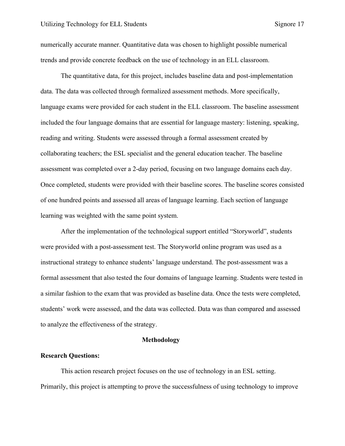numerically accurate manner. Quantitative data was chosen to highlight possible numerical trends and provide concrete feedback on the use of technology in an ELL classroom.

The quantitative data, for this project, includes baseline data and post-implementation data. The data was collected through formalized assessment methods. More specifically, language exams were provided for each student in the ELL classroom. The baseline assessment included the four language domains that are essential for language mastery: listening, speaking, reading and writing. Students were assessed through a formal assessment created by collaborating teachers; the ESL specialist and the general education teacher. The baseline assessment was completed over a 2-day period, focusing on two language domains each day. Once completed, students were provided with their baseline scores. The baseline scores consisted of one hundred points and assessed all areas of language learning. Each section of language learning was weighted with the same point system.

After the implementation of the technological support entitled "Storyworld", students were provided with a post-assessment test. The Storyworld online program was used as a instructional strategy to enhance students' language understand. The post-assessment was a formal assessment that also tested the four domains of language learning. Students were tested in a similar fashion to the exam that was provided as baseline data. Once the tests were completed, students' work were assessed, and the data was collected. Data was than compared and assessed to analyze the effectiveness of the strategy.

#### **Methodology**

#### **Research Questions:**

This action research project focuses on the use of technology in an ESL setting. Primarily, this project is attempting to prove the successfulness of using technology to improve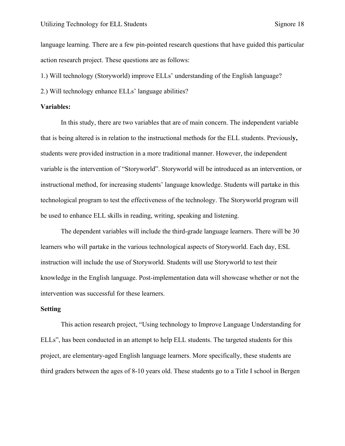language learning. There are a few pin-pointed research questions that have guided this particular action research project. These questions are as follows:

1.) Will technology (Storyworld) improve ELLs' understanding of the English language?

2.) Will technology enhance ELLs' language abilities?

#### **Variables:**

In this study, there are two variables that are of main concern. The independent variable that is being altered is in relation to the instructional methods for the ELL students. Previousl**y,**  students were provided instruction in a more traditional manner. However, the independent variable is the intervention of "Storyworld". Storyworld will be introduced as an intervention, or instructional method, for increasing students' language knowledge. Students will partake in this technological program to test the effectiveness of the technology. The Storyworld program will be used to enhance ELL skills in reading, writing, speaking and listening.

The dependent variables will include the third-grade language learners. There will be 30 learners who will partake in the various technological aspects of Storyworld. Each day, ESL instruction will include the use of Storyworld. Students will use Storyworld to test their knowledge in the English language. Post-implementation data will showcase whether or not the intervention was successful for these learners.

#### **Setting**

This action research project, "Using technology to Improve Language Understanding for ELLs", has been conducted in an attempt to help ELL students. The targeted students for this project, are elementary-aged English language learners. More specifically, these students are third graders between the ages of 8-10 years old. These students go to a Title I school in Bergen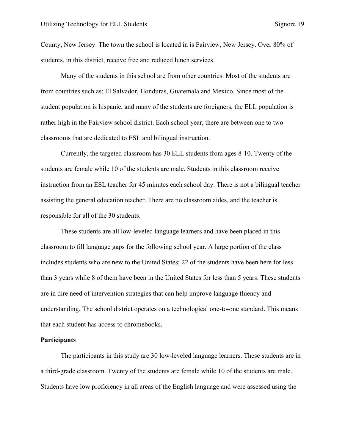County, New Jersey. The town the school is located in is Fairview, New Jersey. Over 80% of students, in this district, receive free and reduced lunch services.

Many of the students in this school are from other countries. Most of the students are from countries such as: El Salvador, Honduras, Guatemala and Mexico. Since most of the student population is hispanic, and many of the students are foreigners, the ELL population is rather high in the Fairview school district. Each school year, there are between one to two classrooms that are dedicated to ESL and bilingual instruction.

Currently, the targeted classroom has 30 ELL students from ages 8-10. Twenty of the students are female while 10 of the students are male. Students in this classroom receive instruction from an ESL teacher for 45 minutes each school day. There is not a bilingual teacher assisting the general education teacher. There are no classroom aides, and the teacher is responsible for all of the 30 students.

These students are all low-leveled language learners and have been placed in this classroom to fill language gaps for the following school year. A large portion of the class includes students who are new to the United States; 22 of the students have been here for less than 3 years while 8 of them have been in the United States for less than 5 years. These students are in dire need of intervention strategies that can help improve language fluency and understanding. The school district operates on a technological one-to-one standard. This means that each student has access to chromebooks.

#### **Participants**

The participants in this study are 30 low-leveled language learners. These students are in a third-grade classroom. Twenty of the students are female while 10 of the students are male. Students have low proficiency in all areas of the English language and were assessed using the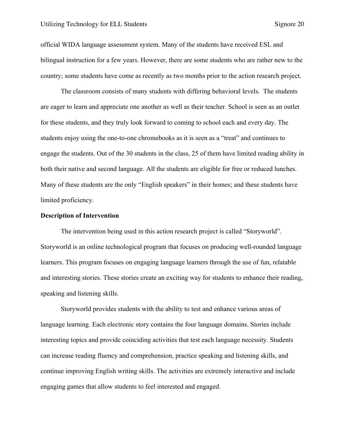official WIDA language assessment system. Many of the students have received ESL and bilingual instruction for a few years. However, there are some students who are rather new to the country; some students have come as recently as two months prior to the action research project.

The classroom consists of many students with differing behavioral levels. The students are eager to learn and appreciate one another as well as their teacher. School is seen as an outlet for these students, and they truly look forward to coming to school each and every day. The students enjoy using the one-to-one chromebooks as it is seen as a "treat" and continues to engage the students. Out of the 30 students in the class, 25 of them have limited reading ability in both their native and second language. All the students are eligible for free or reduced lunches. Many of these students are the only "English speakers" in their homes; and these students have limited proficiency.

#### **Description of Intervention**

The intervention being used in this action research project is called "Storyworld". Storyworld is an online technological program that focuses on producing well-rounded language learners. This program focuses on engaging language learners through the use of fun, relatable and interesting stories. These stories create an exciting way for students to enhance their reading, speaking and listening skills.

Storyworld provides students with the ability to test and enhance various areas of language learning. Each electronic story contains the four language domains. Stories include interesting topics and provide coinciding activities that test each language necessity. Students can increase reading fluency and comprehension, practice speaking and listening skills, and continue improving English writing skills. The activities are extremely interactive and include engaging games that allow students to feel interested and engaged.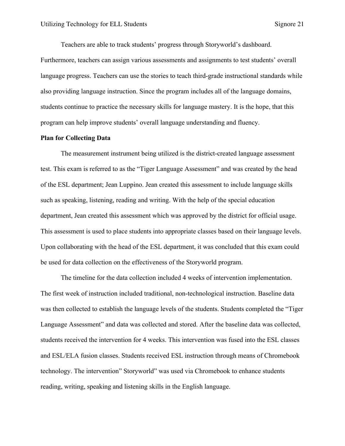Teachers are able to track students' progress through Storyworld's dashboard.

Furthermore, teachers can assign various assessments and assignments to test students' overall language progress. Teachers can use the stories to teach third-grade instructional standards while also providing language instruction. Since the program includes all of the language domains, students continue to practice the necessary skills for language mastery. It is the hope, that this program can help improve students' overall language understanding and fluency.

#### **Plan for Collecting Data**

The measurement instrument being utilized is the district-created language assessment test. This exam is referred to as the "Tiger Language Assessment" and was created by the head of the ESL department; Jean Luppino. Jean created this assessment to include language skills such as speaking, listening, reading and writing. With the help of the special education department, Jean created this assessment which was approved by the district for official usage. This assessment is used to place students into appropriate classes based on their language levels. Upon collaborating with the head of the ESL department, it was concluded that this exam could be used for data collection on the effectiveness of the Storyworld program.

The timeline for the data collection included 4 weeks of intervention implementation. The first week of instruction included traditional, non-technological instruction. Baseline data was then collected to establish the language levels of the students. Students completed the "Tiger Language Assessment" and data was collected and stored. After the baseline data was collected, students received the intervention for 4 weeks. This intervention was fused into the ESL classes and ESL/ELA fusion classes. Students received ESL instruction through means of Chromebook technology. The intervention" Storyworld" was used via Chromebook to enhance students reading, writing, speaking and listening skills in the English language.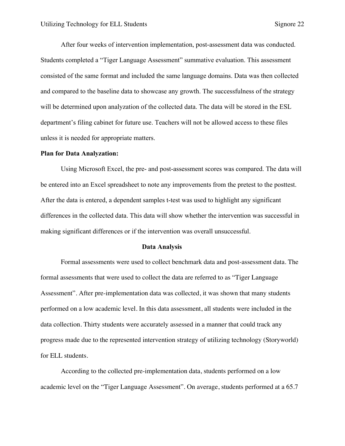After four weeks of intervention implementation, post-assessment data was conducted. Students completed a "Tiger Language Assessment" summative evaluation. This assessment consisted of the same format and included the same language domains. Data was then collected and compared to the baseline data to showcase any growth. The successfulness of the strategy will be determined upon analyzation of the collected data. The data will be stored in the ESL department's filing cabinet for future use. Teachers will not be allowed access to these files unless it is needed for appropriate matters.

#### **Plan for Data Analyzation:**

Using Microsoft Excel, the pre- and post-assessment scores was compared. The data will be entered into an Excel spreadsheet to note any improvements from the pretest to the posttest. After the data is entered, a dependent samples t-test was used to highlight any significant differences in the collected data. This data will show whether the intervention was successful in making significant differences or if the intervention was overall unsuccessful.

#### **Data Analysis**

Formal assessments were used to collect benchmark data and post-assessment data. The formal assessments that were used to collect the data are referred to as "Tiger Language Assessment". After pre-implementation data was collected, it was shown that many students performed on a low academic level. In this data assessment, all students were included in the data collection. Thirty students were accurately assessed in a manner that could track any progress made due to the represented intervention strategy of utilizing technology (Storyworld) for ELL students.

According to the collected pre-implementation data, students performed on a low academic level on the "Tiger Language Assessment". On average, students performed at a 65.7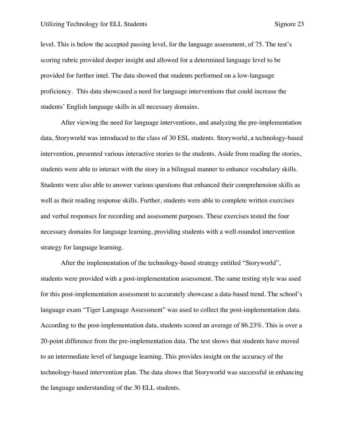level. This is below the accepted passing level, for the language assessment, of 75. The test's scoring rubric provided deeper insight and allowed for a determined language level to be provided for further intel. The data showed that students performed on a low-language proficiency. This data showcased a need for language interventions that could increase the students' English language skills in all necessary domains.

After viewing the need for language interventions, and analyzing the pre-implementation data, Storyworld was introduced to the class of 30 ESL students. Storyworld, a technology-based intervention, presented various interactive stories to the students. Aside from reading the stories, students were able to interact with the story in a bilingual manner to enhance vocabulary skills. Students were also able to answer various questions that enhanced their comprehension skills as well as their reading response skills. Further, students were able to complete written exercises and verbal responses for recording and assessment purposes. These exercises tested the four necessary domains for language learning, providing students with a well-rounded intervention strategy for language learning.

After the implementation of the technology-based strategy entitled "Storyworld", students were provided with a post-implementation assessment. The same testing style was used for this post-implementation assessment to accurately showcase a data-based trend. The school's language exam "Tiger Language Assessment" was used to collect the post-implementation data. According to the post-implementation data, students scored an average of 86.23%. This is over a 20-point difference from the pre-implementation data. The test shows that students have moved to an intermediate level of language learning. This provides insight on the accuracy of the technology-based intervention plan. The data shows that Storyworld was successful in enhancing the language understanding of the 30 ELL students.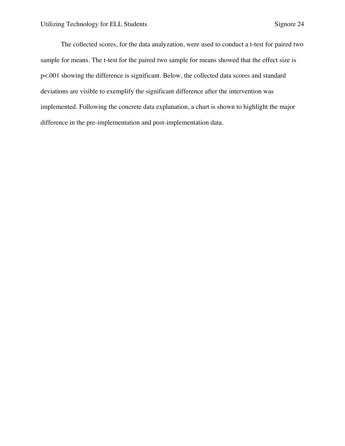The collected scores, for the data analyzation, were used to conduct a t-test for paired two sample for means. The t-test for the paired two sample for means showed that the effect size is p<.001 showing the difference is significant. Below, the collected data scores and standard deviations are visible to exemplify the significant difference after the intervention was implemented. Following the concrete data explanation, a chart is shown to highlight the major difference in the pre-implementation and post-implementation data.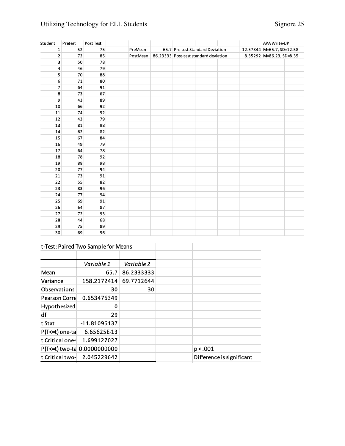## Utilizing Technology for ELL Students Signore 25

| Student | Pretest | Post Test |          |  |                                                                           |  |  | APA Write-UP                                          |  |
|---------|---------|-----------|----------|--|---------------------------------------------------------------------------|--|--|-------------------------------------------------------|--|
| 1       | 52      | 75        | PreMean  |  | 65.7 Pre-test Standard Deviation<br>86.23333 Post-test standard deviation |  |  | 12.57844 M=65.7, SD=12.58<br>8.35292 M=86.23, SD=8.35 |  |
| 2       | 72      | 85        | PostMean |  |                                                                           |  |  |                                                       |  |
| 3       | 50      | 78        |          |  |                                                                           |  |  |                                                       |  |
| 4       | 46      | 79        |          |  |                                                                           |  |  |                                                       |  |
| 5       | 70      | 88        |          |  |                                                                           |  |  |                                                       |  |
| 6       | 71      | 80        |          |  |                                                                           |  |  |                                                       |  |
| 7       | 64      | 91        |          |  |                                                                           |  |  |                                                       |  |
| 8       | 73      | 67        |          |  |                                                                           |  |  |                                                       |  |
| 9       | 43      | 89        |          |  |                                                                           |  |  |                                                       |  |
| 10      | 66      | 92        |          |  |                                                                           |  |  |                                                       |  |
| 11      | 74      | 92        |          |  |                                                                           |  |  |                                                       |  |
| 12      | 43      | 79        |          |  |                                                                           |  |  |                                                       |  |
| 13      | 81      | 98        |          |  |                                                                           |  |  |                                                       |  |
| 14      | 62      | 82        |          |  |                                                                           |  |  |                                                       |  |
| 15      | 67      | 84        |          |  |                                                                           |  |  |                                                       |  |
| 16      | 49      | 79        |          |  |                                                                           |  |  |                                                       |  |
| 17      | 64      | 78        |          |  |                                                                           |  |  |                                                       |  |
| 18      | 78      | 92        |          |  |                                                                           |  |  |                                                       |  |
| 19      | 88      | 98        |          |  |                                                                           |  |  |                                                       |  |
| 20      | 77      | 94        |          |  |                                                                           |  |  |                                                       |  |
| 21      | 73      | 91        |          |  |                                                                           |  |  |                                                       |  |
| 22      | 55      | 82        |          |  |                                                                           |  |  |                                                       |  |
| 23      | 83      | 96        |          |  |                                                                           |  |  |                                                       |  |
| 24      | 77      | 94        |          |  |                                                                           |  |  |                                                       |  |
| 25      | 69      | 91        |          |  |                                                                           |  |  |                                                       |  |
| 26      | 64      | 87        |          |  |                                                                           |  |  |                                                       |  |
| 27      | 72      | 93        |          |  |                                                                           |  |  |                                                       |  |
| 28      | 44      | 68        |          |  |                                                                           |  |  |                                                       |  |
| 29      | 75      | 89        |          |  |                                                                           |  |  |                                                       |  |
| 30      | 69      | 96        |          |  |                                                                           |  |  |                                                       |  |

### t-Test: Paired Two Sample for Means

|                                | t-Test: Paired Two Sample for Means |            |                           |  |
|--------------------------------|-------------------------------------|------------|---------------------------|--|
|                                | Variable 1                          | Variable 2 |                           |  |
| Mean                           | 65.7                                | 86.2333333 |                           |  |
| Variance                       | 158.2172414                         | 69.7712644 |                           |  |
| Observations                   | 30                                  | 30         |                           |  |
| <b>Pearson Corre</b>           | 0.653476349                         |            |                           |  |
| Hypothesized                   | 0                                   |            |                           |  |
| df                             | 29                                  |            |                           |  |
| t Stat                         | -11.81096137                        |            |                           |  |
| P(T<=t) one-ta                 | 6.65625E-13                         |            |                           |  |
| t Critical one-                | 1.699127027                         |            |                           |  |
|                                | P(T<=t) two-ta 0.0000000000         |            | p < .001                  |  |
| 2.045229642<br>t Critical two- |                                     |            | Difference is significant |  |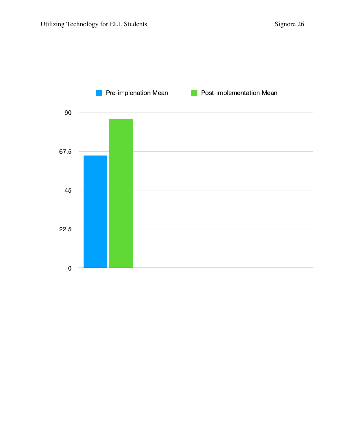

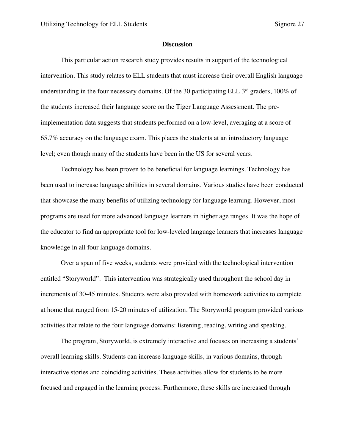#### **Discussion**

This particular action research study provides results in support of the technological intervention. This study relates to ELL students that must increase their overall English language understanding in the four necessary domains. Of the 30 participating ELL  $3<sup>rd</sup>$  graders, 100% of the students increased their language score on the Tiger Language Assessment. The preimplementation data suggests that students performed on a low-level, averaging at a score of 65.7% accuracy on the language exam. This places the students at an introductory language level; even though many of the students have been in the US for several years.

Technology has been proven to be beneficial for language learnings. Technology has been used to increase language abilities in several domains. Various studies have been conducted that showcase the many benefits of utilizing technology for language learning. However, most programs are used for more advanced language learners in higher age ranges. It was the hope of the educator to find an appropriate tool for low-leveled language learners that increases language knowledge in all four language domains.

Over a span of five weeks, students were provided with the technological intervention entitled "Storyworld". This intervention was strategically used throughout the school day in increments of 30-45 minutes. Students were also provided with homework activities to complete at home that ranged from 15-20 minutes of utilization. The Storyworld program provided various activities that relate to the four language domains: listening, reading, writing and speaking.

The program, Storyworld, is extremely interactive and focuses on increasing a students' overall learning skills. Students can increase language skills, in various domains, through interactive stories and coinciding activities. These activities allow for students to be more focused and engaged in the learning process. Furthermore, these skills are increased through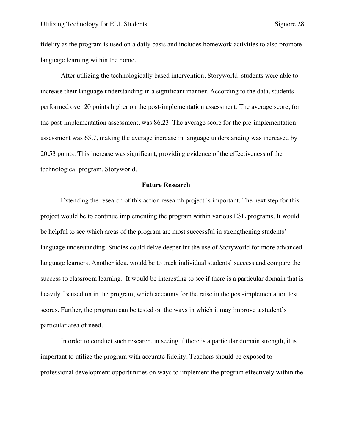fidelity as the program is used on a daily basis and includes homework activities to also promote language learning within the home.

After utilizing the technologically based intervention, Storyworld, students were able to increase their language understanding in a significant manner. According to the data, students performed over 20 points higher on the post-implementation assessment. The average score, for the post-implementation assessment, was 86.23. The average score for the pre-implementation assessment was 65.7, making the average increase in language understanding was increased by 20.53 points. This increase was significant, providing evidence of the effectiveness of the technological program, Storyworld.

#### **Future Research**

Extending the research of this action research project is important. The next step for this project would be to continue implementing the program within various ESL programs. It would be helpful to see which areas of the program are most successful in strengthening students' language understanding. Studies could delve deeper int the use of Storyworld for more advanced language learners. Another idea, would be to track individual students' success and compare the success to classroom learning. It would be interesting to see if there is a particular domain that is heavily focused on in the program, which accounts for the raise in the post-implementation test scores. Further, the program can be tested on the ways in which it may improve a student's particular area of need.

In order to conduct such research, in seeing if there is a particular domain strength, it is important to utilize the program with accurate fidelity. Teachers should be exposed to professional development opportunities on ways to implement the program effectively within the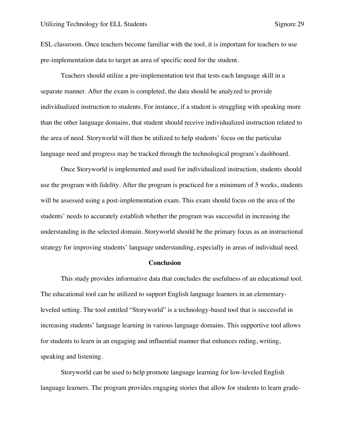ESL classroom. Once teachers become familiar with the tool, it is important for teachers to use pre-implementation data to target an area of specific need for the student.

Teachers should utilize a pre-implementation test that tests each language skill in a separate manner. After the exam is completed, the data should be analyzed to provide individualized instruction to students. For instance, if a student is struggling with speaking more than the other language domains, that student should receive individualized instruction related to the area of need. Storyworld will then be utilized to help students' focus on the particular language need and progress may be tracked through the technological program's dashboard.

Once Storyworld is implemented and used for individualized instruction, students should use the program with fidelity. After the program is practiced for a minimum of 5 weeks, students will be assessed using a post-implementation exam. This exam should focus on the area of the students' needs to accurately establish whether the program was successful in increasing the understanding in the selected domain. Storyworld should be the primary focus as an instructional strategy for improving students' language understanding, especially in areas of individual need.

#### **Conclusion**

This study provides informative data that concludes the usefulness of an educational tool. The educational tool can be utilized to support English language learners in an elementaryleveled setting. The tool entitled "Storyworld" is a technology-based tool that is successful in increasing students' language learning in various language domains. This supportive tool allows for students to learn in an engaging and influential manner that enhances reding, writing, speaking and listening.

Storyworld can be used to help promote language learning for low-leveled English language learners. The program provides engaging stories that allow for students to learn grade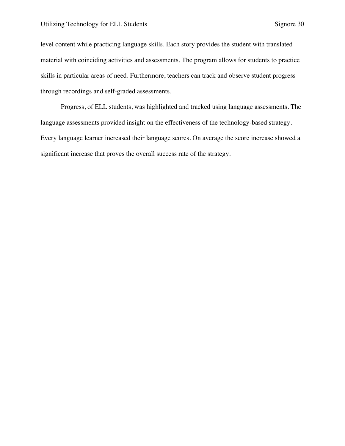level content while practicing language skills. Each story provides the student with translated material with coinciding activities and assessments. The program allows for students to practice skills in particular areas of need. Furthermore, teachers can track and observe student progress through recordings and self-graded assessments.

Progress, of ELL students, was highlighted and tracked using language assessments. The language assessments provided insight on the effectiveness of the technology-based strategy. Every language learner increased their language scores. On average the score increase showed a significant increase that proves the overall success rate of the strategy.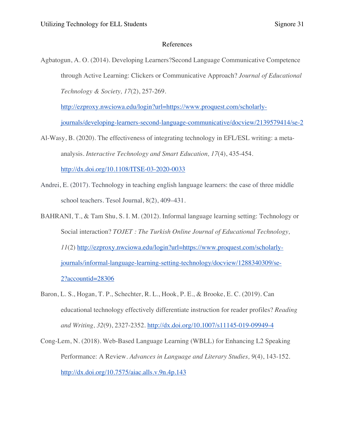#### References

Agbatogun, A. O. (2014). Developing Learners?Second Language Communicative Competence through Active Learning: Clickers or Communicative Approach? *Journal of Educational Technology & Society, 17*(2), 257-269.

http://ezproxy.nwciowa.edu/login?url=https://www.proquest.com/scholarly-

journals/developing-learners-second-language-communicative/docview/2139579414/se-2

- Al-Wasy, B. (2020). The effectiveness of integrating technology in EFL/ESL writing: a metaanalysis. *Interactive Technology and Smart Education, 17*(4), 435-454. http://dx.doi.org/10.1108/ITSE-03-2020-0033
- Andrei, E. (2017). Technology in teaching english language learners: the case of three middle school teachers. Tesol Journal, 8(2), 409–431.
- BAHRANI, T., & Tam Shu, S. I. M. (2012). Informal language learning setting: Technology or Social interaction? *TOJET : The Turkish Online Journal of Educational Technology, 11*(2) http://ezproxy.nwciowa.edu/login?url=https://www.proquest.com/scholarlyjournals/informal-language-learning-setting-technology/docview/1288340309/se-2?accountid=28306
- Baron, L. S., Hogan, T. P., Schechter, R. L., Hook, P. E., & Brooke, E. C. (2019). Can educational technology effectively differentiate instruction for reader profiles? *Reading and Writing, 32*(9), 2327-2352. http://dx.doi.org/10.1007/s11145-019-09949-4
- Cong-Lem, N. (2018). Web-Based Language Learning (WBLL) for Enhancing L2 Speaking Performance: A Review. *Advances in Language and Literary Studies, 9*(4), 143-152. http://dx.doi.org/10.7575/aiac.alls.v.9n.4p.143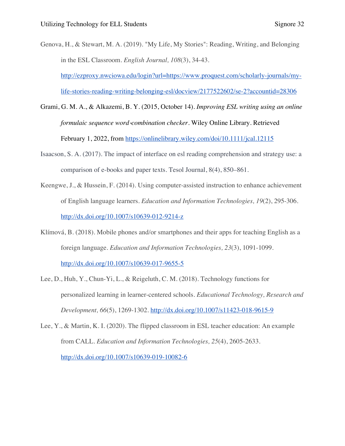- Genova, H., & Stewart, M. A. (2019). "My Life, My Stories": Reading, Writing, and Belonging in the ESL Classroom. *English Journal, 108*(3), 34-43. http://ezproxy.nwciowa.edu/login?url=https://www.proquest.com/scholarly-journals/mylife-stories-reading-writing-belonging-esl/docview/2177522602/se-2?accountid=28306
- Grami, G. M. A., & Alkazemi, B. Y. (2015, October 14). *Improving ESL writing using an online formulaic sequence word*-*combination checker*. Wiley Online Library. Retrieved February 1, 2022, from https://onlinelibrary.wiley.com/doi/10.1111/jcal.12115
- Isaacson, S. A. (2017). The impact of interface on esl reading comprehension and strategy use: a comparison of e-books and paper texts. Tesol Journal, 8(4), 850–861.
- Keengwe, J., & Hussein, F. (2014). Using computer-assisted instruction to enhance achievement of English language learners. *Education and Information Technologies, 19*(2), 295-306. http://dx.doi.org/10.1007/s10639-012-9214-z
- Klímová, B. (2018). Mobile phones and/or smartphones and their apps for teaching English as a foreign language. *Education and Information Technologies, 23*(3), 1091-1099. http://dx.doi.org/10.1007/s10639-017-9655-5
- Lee, D., Huh, Y., Chun-Yi, L., & Reigeluth, C. M. (2018). Technology functions for personalized learning in learner-centered schools. *Educational Technology, Research and Development, 66*(5), 1269-1302. http://dx.doi.org/10.1007/s11423-018-9615-9
- Lee, Y., & Martin, K. I. (2020). The flipped classroom in ESL teacher education: An example from CALL. *Education and Information Technologies, 25*(4), 2605-2633. http://dx.doi.org/10.1007/s10639-019-10082-6